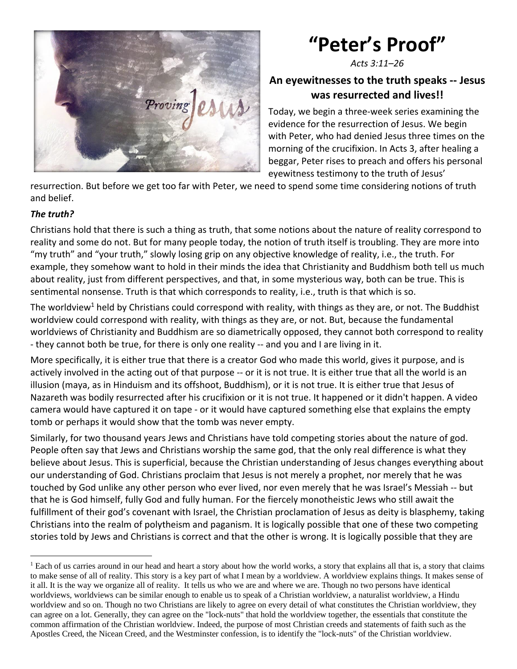

## **"Peter's Proof"**

*Acts 3:11–26*

## **An eyewitnesses to the truth speaks -- Jesus was resurrected and lives!!**

Today, we begin a three-week series examining the evidence for the resurrection of Jesus. We begin with Peter, who had denied Jesus three times on the morning of the crucifixion. In Acts 3, after healing a beggar, Peter rises to preach and offers his personal eyewitness testimony to the truth of Jesus'

resurrection. But before we get too far with Peter, we need to spend some time considering notions of truth and belief.

## *The truth?*

Christians hold that there is such a thing as truth, that some notions about the nature of reality correspond to reality and some do not. But for many people today, the notion of truth itself is troubling. They are more into "my truth" and "your truth," slowly losing grip on any objective knowledge of reality, i.e., the truth. For example, they somehow want to hold in their minds the idea that Christianity and Buddhism both tell us much about reality, just from different perspectives, and that, in some mysterious way, both can be true. This is sentimental nonsense. Truth is that which corresponds to reality, i.e., truth is that which is so.

The worldview<sup>1</sup> held by Christians could correspond with reality, with things as they are, or not. The Buddhist worldview could correspond with reality, with things as they are, or not. But, because the fundamental worldviews of Christianity and Buddhism are so diametrically opposed, they cannot both correspond to reality - they cannot both be true, for there is only one reality -- and you and I are living in it.

More specifically, it is either true that there is a creator God who made this world, gives it purpose, and is actively involved in the acting out of that purpose -- or it is not true. It is either true that all the world is an illusion (maya, as in Hinduism and its offshoot, Buddhism), or it is not true. It is either true that Jesus of Nazareth was bodily resurrected after his crucifixion or it is not true. It happened or it didn't happen. A video camera would have captured it on tape - or it would have captured something else that explains the empty tomb or perhaps it would show that the tomb was never empty.

Similarly, for two thousand years Jews and Christians have told competing stories about the nature of god. People often say that Jews and Christians worship the same god, that the only real difference is what they believe about Jesus. This is superficial, because the Christian understanding of Jesus changes everything about our understanding of God. Christians proclaim that Jesus is not merely a prophet, nor merely that he was touched by God unlike any other person who ever lived, nor even merely that he was Israel's Messiah -- but that he is God himself, fully God and fully human. For the fiercely monotheistic Jews who still await the fulfillment of their god's covenant with Israel, the Christian proclamation of Jesus as deity is blasphemy, taking Christians into the realm of polytheism and paganism. It is logically possible that one of these two competing stories told by Jews and Christians is correct and that the other is wrong. It is logically possible that they are

<sup>&</sup>lt;sup>1</sup> Each of us carries around in our head and heart a story about how the world works, a story that explains all that is, a story that claims to make sense of all of reality. This story is a key part of what I mean by a worldview. A worldview explains things. It makes sense of it all. It is the way we organize all of reality. It tells us who we are and where we are. Though no two persons have identical worldviews, worldviews can be similar enough to enable us to speak of a Christian worldview, a naturalist worldview, a Hindu worldview and so on. Though no two Christians are likely to agree on every detail of what constitutes the Christian worldview, they can agree on a lot. Generally, they can agree on the "lock-nuts" that hold the worldview together, the essentials that constitute the common affirmation of the Christian worldview. Indeed, the purpose of most Christian creeds and statements of faith such as the Apostles Creed, the Nicean Creed, and the Westminster confession, is to identify the "lock-nuts" of the Christian worldview.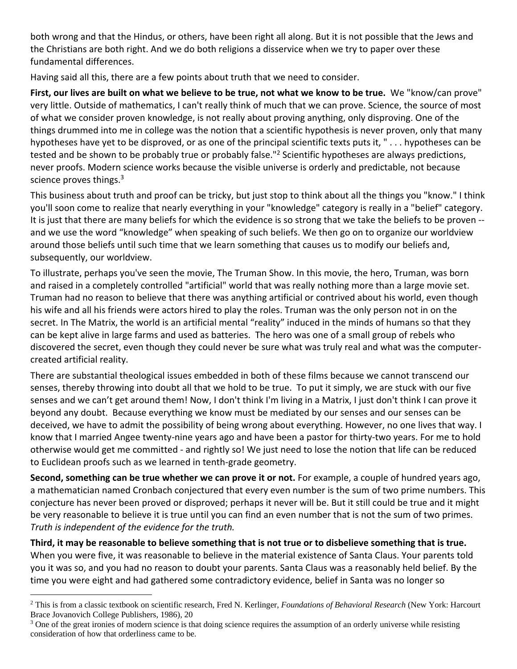both wrong and that the Hindus, or others, have been right all along. But it is not possible that the Jews and the Christians are both right. And we do both religions a disservice when we try to paper over these fundamental differences.

Having said all this, there are a few points about truth that we need to consider.

**First, our lives are built on what we believe to be true, not what we know to be true.** We "know/can prove" very little. Outside of mathematics, I can't really think of much that we can prove. Science, the source of most of what we consider proven knowledge, is not really about proving anything, only disproving. One of the things drummed into me in college was the notion that a scientific hypothesis is never proven, only that many hypotheses have yet to be disproved, or as one of the principal scientific texts puts it, " . . . hypotheses can be tested and be shown to be probably true or probably false."<sup>2</sup> Scientific hypotheses are always predictions, never proofs. Modern science works because the visible universe is orderly and predictable, not because science proves things.<sup>3</sup>

This business about truth and proof can be tricky, but just stop to think about all the things you "know." I think you'll soon come to realize that nearly everything in your "knowledge" category is really in a "belief" category. It is just that there are many beliefs for which the evidence is so strong that we take the beliefs to be proven - and we use the word "knowledge" when speaking of such beliefs. We then go on to organize our worldview around those beliefs until such time that we learn something that causes us to modify our beliefs and, subsequently, our worldview.

To illustrate, perhaps you've seen the movie, The Truman Show. In this movie, the hero, Truman, was born and raised in a completely controlled "artificial" world that was really nothing more than a large movie set. Truman had no reason to believe that there was anything artificial or contrived about his world, even though his wife and all his friends were actors hired to play the roles. Truman was the only person not in on the secret. In The Matrix, the world is an artificial mental "reality" induced in the minds of humans so that they can be kept alive in large farms and used as batteries. The hero was one of a small group of rebels who discovered the secret, even though they could never be sure what was truly real and what was the computercreated artificial reality.

There are substantial theological issues embedded in both of these films because we cannot transcend our senses, thereby throwing into doubt all that we hold to be true. To put it simply, we are stuck with our five senses and we can't get around them! Now, I don't think I'm living in a Matrix, I just don't think I can prove it beyond any doubt. Because everything we know must be mediated by our senses and our senses can be deceived, we have to admit the possibility of being wrong about everything. However, no one lives that way. I know that I married Angee twenty-nine years ago and have been a pastor for thirty-two years. For me to hold otherwise would get me committed - and rightly so! We just need to lose the notion that life can be reduced to Euclidean proofs such as we learned in tenth-grade geometry.

**Second, something can be true whether we can prove it or not.** For example, a couple of hundred years ago, a mathematician named Cronbach conjectured that every even number is the sum of two prime numbers. This conjecture has never been proved or disproved; perhaps it never will be. But it still could be true and it might be very reasonable to believe it is true until you can find an even number that is not the sum of two primes. *Truth is independent of the evidence for the truth.*

**Third, it may be reasonable to believe something that is not true or to disbelieve something that is true.** When you were five, it was reasonable to believe in the material existence of Santa Claus. Your parents told you it was so, and you had no reason to doubt your parents. Santa Claus was a reasonably held belief. By the time you were eight and had gathered some contradictory evidence, belief in Santa was no longer so

<sup>2</sup> This is from a classic textbook on scientific research, Fred N. Kerlinger, *Foundations of Behavioral Research* (New York: Harcourt Brace Jovanovich College Publishers, 1986), 20

<sup>&</sup>lt;sup>3</sup> One of the great ironies of modern science is that doing science requires the assumption of an orderly universe while resisting consideration of how that orderliness came to be.